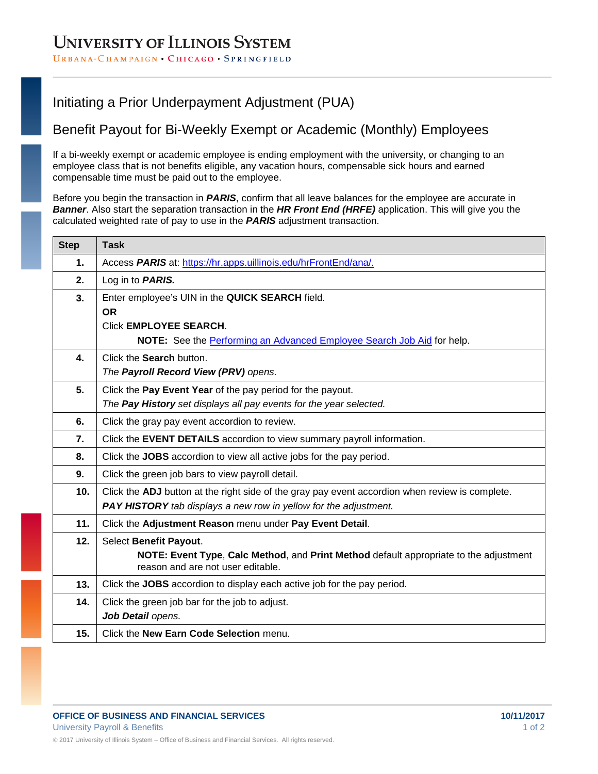#### URBANA-CHAMPAIGN · CHICAGO · SPRINGFIELD

## Initiating a Prior Underpayment Adjustment (PUA)

## Benefit Payout for Bi-Weekly Exempt or Academic (Monthly) Employees

If a bi-weekly exempt or academic employee is ending employment with the university, or changing to an employee class that is not benefits eligible, any vacation hours, compensable sick hours and earned compensable time must be paid out to the employee.

Before you begin the transaction in *PARIS*, confirm that all leave balances for the employee are accurate in *Banner*. Also start the separation transaction in the *HR Front End (HRFE)* application. This will give you the calculated weighted rate of pay to use in the *PARIS* adjustment transaction.

| <b>Step</b> | <b>Task</b>                                                                                                                |
|-------------|----------------------------------------------------------------------------------------------------------------------------|
| 1.          | Access PARIS at: https://hr.apps.uillinois.edu/hrFrontEnd/ana/.                                                            |
| 2.          | Log in to <b>PARIS.</b>                                                                                                    |
| 3.          | Enter employee's UIN in the QUICK SEARCH field.                                                                            |
|             | <b>OR</b>                                                                                                                  |
|             | <b>Click EMPLOYEE SEARCH.</b>                                                                                              |
|             | NOTE: See the Performing an Advanced Employee Search Job Aid for help.                                                     |
| 4.          | Click the Search button.                                                                                                   |
|             | The Payroll Record View (PRV) opens.                                                                                       |
| 5.          | Click the Pay Event Year of the pay period for the payout.                                                                 |
|             | The Pay History set displays all pay events for the year selected.                                                         |
| 6.          | Click the gray pay event accordion to review.                                                                              |
| 7.          | Click the EVENT DETAILS accordion to view summary payroll information.                                                     |
| 8.          | Click the JOBS accordion to view all active jobs for the pay period.                                                       |
| 9.          | Click the green job bars to view payroll detail.                                                                           |
| 10.         | Click the ADJ button at the right side of the gray pay event accordion when review is complete.                            |
|             | PAY HISTORY tab displays a new row in yellow for the adjustment.                                                           |
| 11.         | Click the Adjustment Reason menu under Pay Event Detail.                                                                   |
| 12.         | Select Benefit Payout.                                                                                                     |
|             | NOTE: Event Type, Calc Method, and Print Method default appropriate to the adjustment<br>reason and are not user editable. |
| 13.         | Click the JOBS accordion to display each active job for the pay period.                                                    |
| 14.         | Click the green job bar for the job to adjust.                                                                             |
|             | Job Detail opens.                                                                                                          |
| 15.         | Click the New Earn Code Selection menu.                                                                                    |